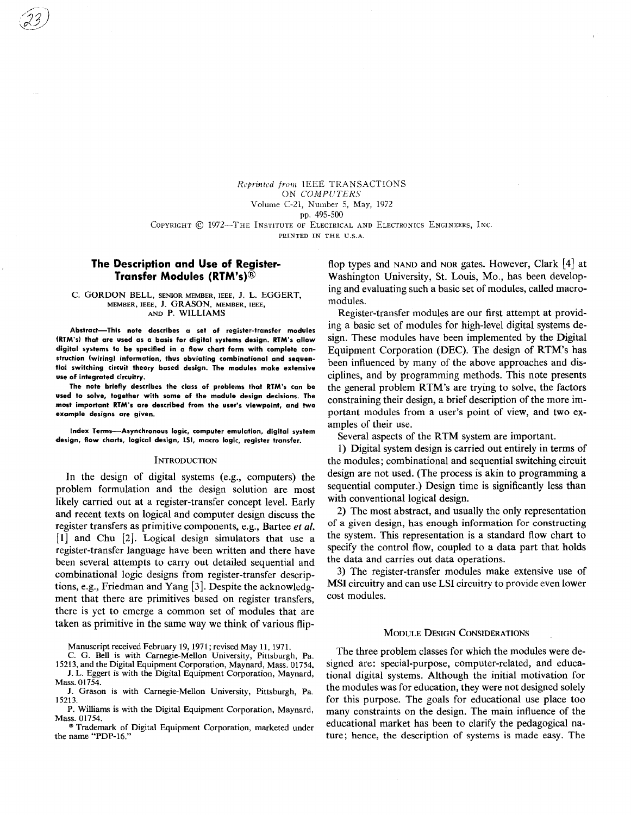*R@rinfed from* IEEE TRANSACTIONS ON COMPUTERS **Volurne** C-21, Number *5,* **May, 1972**  pp. 495-500 COPYRIGHT @ **1972-THE** INSTITUTE **OF** ELECTRICAL AND ELECTRONICS ENGINEERS, INC. PRINTED IN THE U.S.A.

# **The Description and Use of Register-Transfer Modules (RTM's)@**

C. GORDON BELL, SENIOR MEMBER, IEEE, J. L. EGGERT, MEMBER, IEEE, J. GRASON, MEMBER, IEEE, AND P. WILLIAMS

**Abstract-This note describes a set of register-transfer modules (RTM's) that are used as a basis for digital systems design. RTM's allow digital systems to be specified in a flow chart form with complete construction (wiring) information, thus obviating combinational and sequential switching circuit theory based design. The modules make extensive use of integrated circuitry.** 

**The note briefly describes the class of problems that RTM's can be used to solve, together with some of the module design decisions. The most important RTM's are described from the user's viewpoint, and two example designs are given.** 

**Index Term-Asynchronous logic, computer emulation, digital system design, flow charts, logical design, LSI, macro logic, register transfer.** 

### **INTRODUCTION**

In the design of digital systems (e.g., computers) the problem formulation and the design solution are most likely carried out at a register-transfer concept level. Early and recent texts on logical and computer design discuss the register transfers as primitive components, e.g., Bartee *et al.*  **[I]** and Chu **[2].** Logical design simulators that use a register-transfer language have been written and there have been several attempts to carry out detailed sequential and combinational logic designs from register-transfer descriptions, e.g., Friedman and Yang [3]. Despite the acknowledgment that there are primitives based on register transfers, there is yet to emerge a common set of modules that are taken as primitive in the same way we think of various flip-

**Manuscript received February 19,1971** ; **revised May 11,1971.** 

**C. G. Bell is with Carnegie-Mellon University, Pittsburgh, Pa. 15213, and the Digital Equipment Corporation, Maynard, Mass. 01754. J. L. Eggert is with the Digital Equipment Corporation, Maynard,** 

**Mass. 01754. J. Grason is with Carnegie-Mellon University, Pittsburgh, Pa. 15213.** 

**P. Williams is with the Digital Equipment Corporation, Maynard, Mass. 01754.** 

@ **Trademark of Digital Equipment Corporation, marketed under the name "PDP-16."** 

flop types and **NAND** and **NOR** gates. However, Clark [4] at Washington University, St. Louis, Mo., has been developing and evaluating such a basic set of modules, called macromodules.

Register-transfer modules are our first attempt at providing a basic set of modules for high-level digital systems design. These modules have been implemented by the Digital Equipment Corporation (DEC). The design of RTM's has been influenced by many of the above approaches and disciplines, and by programming methods. This note presents the general problem RTM's are trying to solve, the factors constraining their design, a brief description of the more important modules from a user's point of view, and two examples of their use.

Several aspects of the RTM system are important.

1) Digital system design is carried out entirely in terms of the modules; combinational and sequential switching circuit design are not used. (The process is akin to programming a sequential computer.) Design time is significantly less than with conventional logical design.

2) The most abstract, and usually the only representation of a given design, has enough information for constructing the system. This representation is a standard flow chart to specify the control flow, coupled to a data part that holds the data and carries out data operations.

3) The register-transfer modules make extensive use of MSI circuitry and can use LSI circuitry to provide even lower cost modules.

#### **MODULE DESIGN CONSIDERATIONS**

The three problem classes for which the modules were designed are: special-purpose, computer-related, and educational digital systems. Although the initial motivation for the modules was for education, they were not designed solely for this purpose. The goals for educational use place too many constraints on the design. The main influence of the educational market has been to clarify the pedagogical nature; hence, the description of systems is made easy. The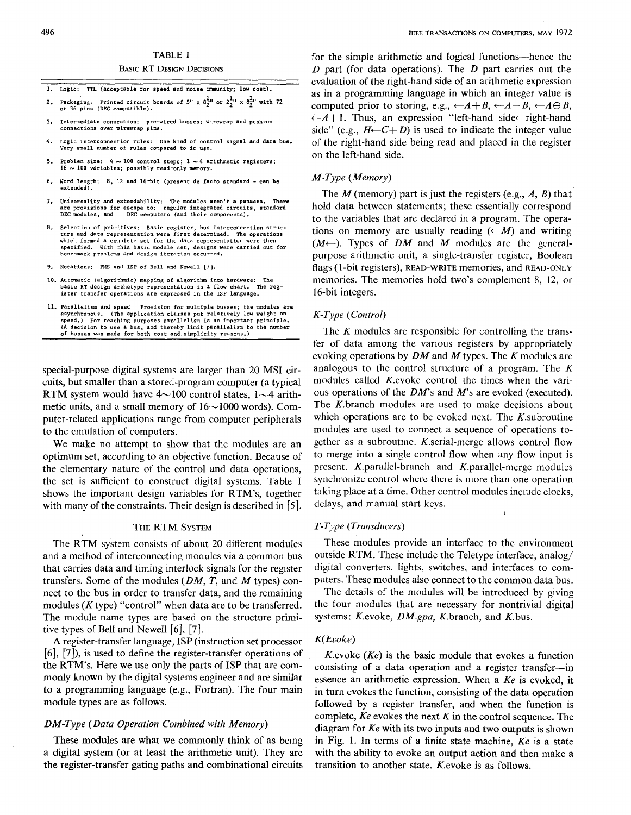### **BASIC RT DESIGN DECISIONS**

- **Logic: TTL (acceptable for speed and noise immunity; low cost).**   $\overline{1}$
- **Packaging:** Printed circuit boards of  $5" \times 8\frac{1}{2}$  or  $2\frac{1}{2}$   $\times 8\frac{1}{2}$  with 72 or 36 pins (DEC compatible).  $2 -$
- $\mathbf{3}$ . **Intermediate connection: pre-wired busses; wirewrap and push-on connections over wirewrap pins.**
- **Logic interconnection rules: One kind of control signal and data bur.**  4. **Very small number of rules compared to ic use.**
- $5<sub>z</sub>$ **Problem size:**  $4 \sim 100$  control steps:  $1 \sim 4$  arithmetic registers; 16 ~ 100 variables; possibly read-only memory.
- **Word length: 8, 12 and 16-bit (present de facto standard can be**   $6.$ **extended).**
- $\overline{1}$ **Universality and extendability: The modules aren't a panacea. mere are provisions for escape to: regular integrated circuits, standard DEC modules, and DEC computers (and their components).**
- $\mathbf{R}$ **Selection of primitives: Basic register, bus interconnection structure and data representation were first determined. The operations which formed a complete set for the data representation were then specified. With this basic module set, designs were carried out for benchmark problems and design iteration occurred.**
- **Notations: PMS and ISP of Bell and Newell [7].**
- $10$ **Automatic (algorithmic) mapping of algorithm into hardware: The basic RT design archetype representation is a flow chart. The reg-ister transfer operations are expressed in the ISP language.**
- **Parallelism and speed: Provision for multiple busses; the modules are asynchronous. (me application classes put relatively low weight on speed.) For teaching purposes parallelism is an important principle. (A decision to use a bus, and thereby limit parallelism to the number**  of busses was made for both cost and simplicity reasons.)

special-purpose digital systems are larger than 20 MSI circuits, but smaller than a stored-program computer (a typical RTM system would have  $4{\sim}100$  control states,  $1{\sim}4$  arithmetic units, and a small memory of  $16\sim1000$  words). Computer-related applications range from computer peripherals to the emulation of computers.

We make no attempt to show that the modules are an optimum set, according to an objective function. Because of the elementary nature of the control and data operations, the set is sufficient to construct digital systems. Table I shows the important design variables for RTM's, together with many of the constraints. Their design is described in *[S].* 

### THE RTM SYSTEM

The RTM system consists of about 20 different modules and a method of interconnecting modules via a common bus that carries data and timing interlock signals for the register transfers. Some of the modules  $(DM, T,$  and M types) connect to the bus in order to transfer data, and the remaining modules ( $K$  type) "control" when data are to be transferred. The module name types are based on the structure primitive types of Bell and Newell  $[6]$ ,  $[7]$ .

**A** register-transfer language, ISP (instruction set processor **161,** [7]), is used to define the register-transfer operations of the RTM's. Here we use only the parts of ISP that are commonly known by the digital systems engineer and are similar to a programming language (e.g., Fortran). The four main module types are as follows.

## DM-Type (Data Operation Combined with Memory)

These modules are what we commonly think of as being a digital system (or at least the arithmetic unit). They are the register-transfer gating paths and combinational circuits

for the simple arithmetic and logical functions-hence the  $D$  part (for data operations). The  $D$  part carries out the evaluation of the right-hand side of an arithmetic expression as in a programming language in which an integer value is computed prior to storing, e.g.,  $\leftarrow A+B$ ,  $\leftarrow A-B$ ,  $\leftarrow A\oplus B$ ,  $\leftarrow$  A+1. Thus, an expression "left-hand side $\leftarrow$ right-hand side" (e.g.,  $H \leftarrow C + D$ ) is used to indicate the integer value of the right-hand side being read and placed in the register on the left-hand side.

# M-Type (Memory)

The  $M$  (memory) part is just the registers (e.g.,  $A$ ,  $B$ ) that hold data between statements; these essentially correspond to the variables that are declared in a program. The operations on memory are usually reading  $(\leftarrow M)$  and writing  $(M \leftarrow)$ . Types of DM and M modules are the generalpurpose arithmetic unit, a single-transfer register, Boolean flags (I-bit registers), **READ-WRITE** memories, and **READ-ONLY**  memories. The memories hold two's complement 8, 12, or 16-bit integers.

# K-Type (Control)

The  $K$  modules are responsible for controlling the transfer of data among the various registers by appropriately evoking operations by  $DM$  and  $M$  types. The K modules are analogous to the control structure of a program. The  $K$ modules called K.evoke control the times when the various operations of the DM'S and M's are evoked (executed). The K.branch modules are used to make decisions about which operations are to be evoked next. The  $K$  subroutine modules are used to connect a sequence of operations together as a subroutine. K serial-merge allows control flow to merge into a single control flow when any flow input is present.  $K$ .parallel-branch and  $K$ .parallel-merge modules synchronize control where there is more than one operation taking place at a time. Other control modules include clocks, delays, and manual start keys.

## T-Type (Transducers)

These modules provide an interface to the environment outside RTM. These include the Teletype interface, analog/ digital converters, lights, switches, and interfaces to computers. These modules also connect to the common data bus.

**I** 

The details of the modules will be introduced by giving the four modules that are necessary for nontrivial digital systems: K.evoke, DM.gpa, K.branch, and K.bus.

## $K(Evoke)$

K.evoke  $(Ke)$  is the basic module that evokes a function consisting of a data operation and a register transfer-in essence an arithmetic expression. When a Ke is evoked, it in turn evokes the function, consisting of the data operation followed by a register transfer, and when the function is complete,  $Ke$  evokes the next  $K$  in the control sequence. The diagram for Ke with its two inputs and two outputs is shown in Fig. 1. In terms of a finite state machine, Ke is a state with the ability to evoke an output action and then make a transition to another state. K.evoke is as follows.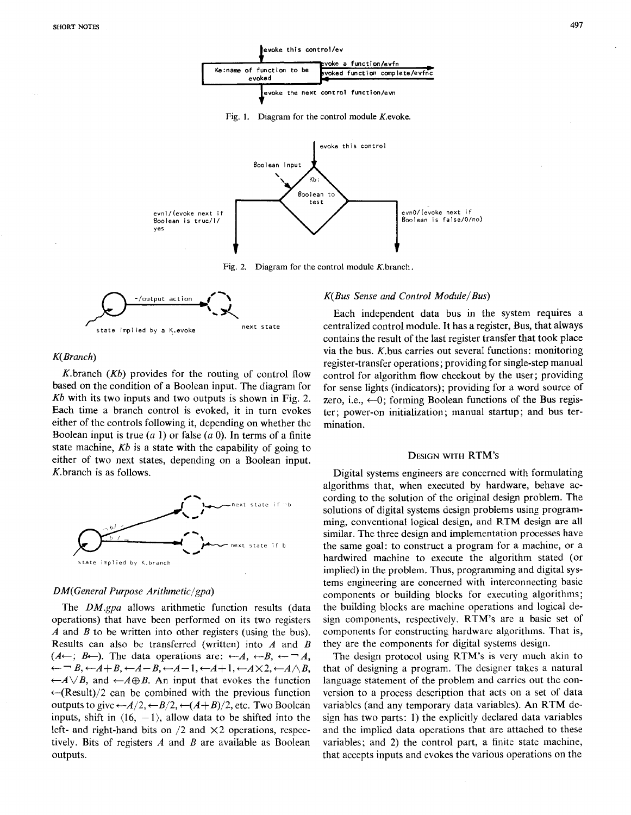

Fig. 2. Diagram for the control module K.branch.



# K(Branch)

K.branch  $(Kb)$  provides for the routing of control flow based on the condition of a Boolean input. The diagram for Kb with its two inputs and two outputs is shown in Fig. 2. Each time a branch control is evoked, it in turn evokes either of the controls following it, depending on whether the Boolean input is true  $(a 1)$  or false  $(a 0)$ . In terms of a finite state machine, Kb is a state with the capability of going to either of two next states, depending on a Boolean input. K.branch is as follows.



# DM(Genera1 Purpose Arithmetic/gpa)

The DM.gpa allows arithmetic function results (data operations) that have been performed on its two registers A and B to be written into other registers (using the bus). Results can also be transferred (written) into A and B  $(A \leftarrow; B \leftarrow)$ . The data operations are:  $\leftarrow A$ ,  $\leftarrow B$ ,  $\leftarrow \neg A$ ,  $\leftarrow$   $\neg B$ ,  $\leftarrow$  *A* + *B*,  $\leftarrow$  *A* - *B*,  $\leftarrow$  *A* - 1,  $\leftarrow$  *A* + 1,  $\leftarrow$  *A*  $\times$  2,  $\leftarrow$  *A*  $\wedge$  *B*,  $\leftarrow A \lor B$ , and  $\leftarrow A \oplus B$ . An input that evokes the function  $\leftarrow$ (Result)/2 can be combined with the previous function outputs to give  $\leftarrow A/2, \leftarrow B/2, \leftarrow (A+B)/2$ , etc. Two Boolean inputs, shift in  $\langle 16, -1 \rangle$ , allow data to be shifted into the left- and right-hand bits on  $/2$  and  $\times 2$  operations, respectively. Bits of registers  $A$  and  $B$  are available as Boolean outputs.

## K(Bus Sense and Control Module/Bus)

Each independent data bus in the system requires a centralized control module. It has a register, Bus, that always contains the result of the last register transfer that took place via the bus. K.bus carries out several functions: monitoring register-transfer operations; providing for single-step manual control for algorithm flow checkout by the user; providing for sense lights (indicators); providing for a word source of zero, i.e.,  $\leftarrow 0$ ; forming Boolean functions of the Bus register; power-on initialization; manual startup; and bus termination.

### DESIGN WITH RTM's

Digital systems engineers are concerned with formulating algorithms that, when executed by hardware, behave according to the solution of the original design problem. The solutions of digital systems design problems using programming, conventional logical design, and RTM design are all similar. The three design and implementation processes have the same goal: to construct a program for a machine, or a hardwired machine to execute the algorithm stated (or implied) in the problem. Thus, programming and digital systems engineering are concerned with interconnecting basic components or building blocks for executing algorithms; the building blocks are machine operations and logical design components, respectively. RTM's are a basic set of components for constructing hardware algorithms. That is, they are the components for digital systems design.

The design protocol using RTM's is very much akin to that of designing a program. The designer takes a natural language statement of the problem and carries out the conversion to a process description that acts on a set of data variables (and any temporary data variables). An RTM design has two parts: 1) the explicitly declared data variables and the implied data operations that are attached to these variables; and 2) the control part, a finite state machine, that accepts inputs and evokes the various operations on the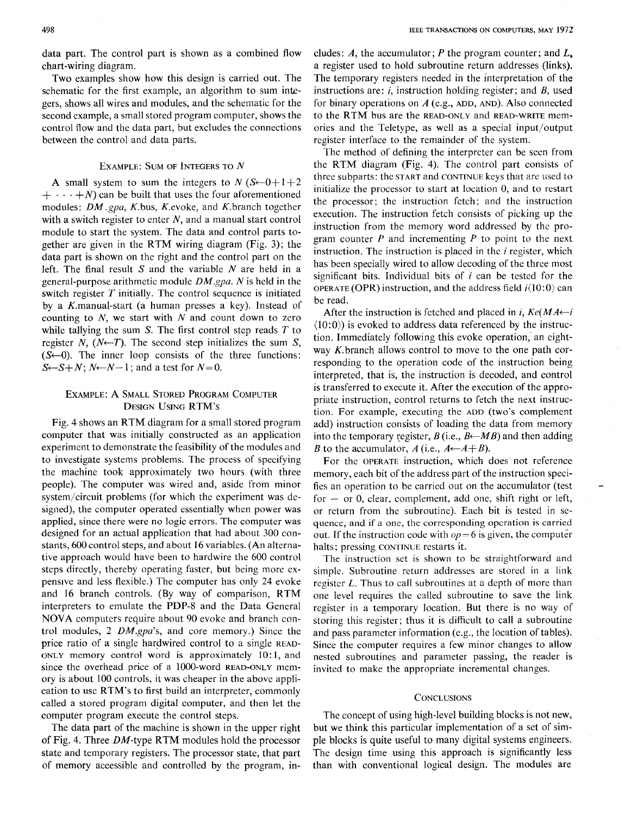Two examples show how this design is carried out. The schematic for the first example, an algorithm to sum integers, shows all wires and modules, and the schematic for the second example, a small stored program computer, shows the control flow and the data part, but excludes the connections between the control and data parts.

## EXAMPLE: SUM OF INTEGERS TO N

A small system to sum the integers to  $N$  (S–0+1+2)  $+ \cdot \cdot \cdot + N$  can be built that uses the four aforementioned modules: DM .gpa, K.bus, K.evoke, and K.branch together with a switch register to enter  $N$ , and a manual start control module to start the system. The data and control parts together are given in the RTM wiring diagram (Fig. 3); the data part is shown on the right and the control part on the left. The final result *S* and the variable N are held in a general-purpose arithmetic module  $DM$ .gpa. N is held in the switch register  $T$  initially. The control sequence is initiated by a K.manual-start (a human presses a key). Instead of counting to  $N$ , we start with  $N$  and count down to zero while tallying the sum  $S$ . The first control step reads  $T$  to register N,  $(N \leftarrow T)$ . The second step initializes the sum *S*,  $(S \leftarrow 0)$ . The inner loop consists of the three functions:  $S \leftarrow S + N$ ;  $N \leftarrow N - 1$ ; and a test for  $N = 0$ .

# EXAMPLE: A SMALL STORED PROGRAM COMPUTER DESIGN USING RTM's

Fig. 4 shows an RTM diagram for a small stored program computer that was initially constructed as an application experiment to demonstrate the feasibility of the modules and to investigate systems problems. The process of specifying the machine took approximately two hours (with three people). The computer was wired and, aside from minor system/circuit problems (for which the experiment was designed), the computer operated essentially when power was applied, since there were no logic errors. The computer was designed for an actual application that had about 300 constants, 600 control steps, and about 16 variables. (An alternative approach would have been to hardwire the 600 control steps directly, thereby operating faster, but being more expenslve and less flexible.) The computer has only 24 evoke and 16 branch controls. (By way of comparison, RTM interpreters to emulate the PDP-8 and the Data General NOVA computers require about 90 evoke and branch control modules, 2 DM.gpa's, and core memory.) Since the price ratio of a single hardwired control to a single READ-ONLY memory control word is approximately 10: 1, and since the overhead price of a 1000-word READ-ONLY memory is about 100 controls, it was cheaper in the above application to use RTM's to first build an interpreter, commonly called a stored program digital computer, and then let the computer program execute the control steps.

The data part of the machine is shown in the upper right of Fig. 4. Three DM-type RTM modules hold the processor state and temporary registers. The processor state, that part of memory accessible and controlled by the program, includes: A, the accumulator; P the program counter; and  $L$ , a register used to hold subroutine return addresses (links). The temporary registers needed in the interpretation of the instructions are:  $i$ , instruction holding register; and  $B$ , used for binary operations on  $A$  (e.g., ADD, AND). Also connected to the RTM bus are the READ-ONLY and READ-WRITE memories and the Teletype, as well as a special input/output register interface to the remainder of the system.

The method of defining the interpreter can be seen from the RTM diagram (Fig. 4). The control part consists of three subparts: the START and CONTINUE keys that are used to initialize the processor to start at location 0, and to restart the processor; the instruction fetch; and the instruction execution. The instruction fetch consists of picking up the instruction from the memory word addressed by the program counter  $P$  and incrementing  $P$  to point to the next instruction. The instruction is placed in the  $i$  register, which has been specially wired to allow decoding of the three most significant bits. Individual bits of **i** can be tested for the OPERATE (OPR) instruction, and the address field  $i(10:0)$  can be read.

After the instruction is fetched and placed in *i*,  $Ke(MA \leftarrow i$  $(10:0)$ ) is evoked to address data referenced by the instruction. Immediately following this evoke operation, an eightway K.branch allows control to move to the one path corresponding to the operation code of the instruction being interpreted, that is, the instruction is decoded, and control is transferred to execute it. After the execution of the appropriate instruction, control returns to fetch the next instruction. For example, executing the ADD (two's complement add) instruction consists of loading the data from memory into the temporary register,  $B$  (i.e.,  $B \leftarrow MB$ ) and then adding B to the accumulator,  $A$  (i.e.,  $A \leftarrow A + B$ ).

For the OPERATE instruction, which does not reference memory, each bit of the address part of the instruction specifies an operation to be carried out on the accumulator (test for  $-$  or 0, clear, complement, add one, shift right or left, or return from the subroutine). Each bit is tested in sequence, and if a one, the corresponding operation is carried out. If the instruction code with  $op = 6$  is given, the computer halts; pressing CONTINUE restarts it.

The instruction set is shown to be straightforward and simple. Subroutine return addresses are stored in a link register L. Thus to call subroutines at a depth of more than one level requires the called subroutine to save the link register in a temporary location. But there is no way of storing this register; thus it is difficult to call a subroutine and pass parameter information (e.g., the location of tables). Since the computer requires a few minor changes to allow nested subroutines and parameter passing, the reader is invited to make the appropriate incremental changes.

#### **CONCLUSIONS**

The concept of using high-level building blocks is not new, but we think this particular implementation of a set of simple blocks is quite useful to many digital systems engineers. The design time using this approach is significantly less than with conventional logical design. The modules are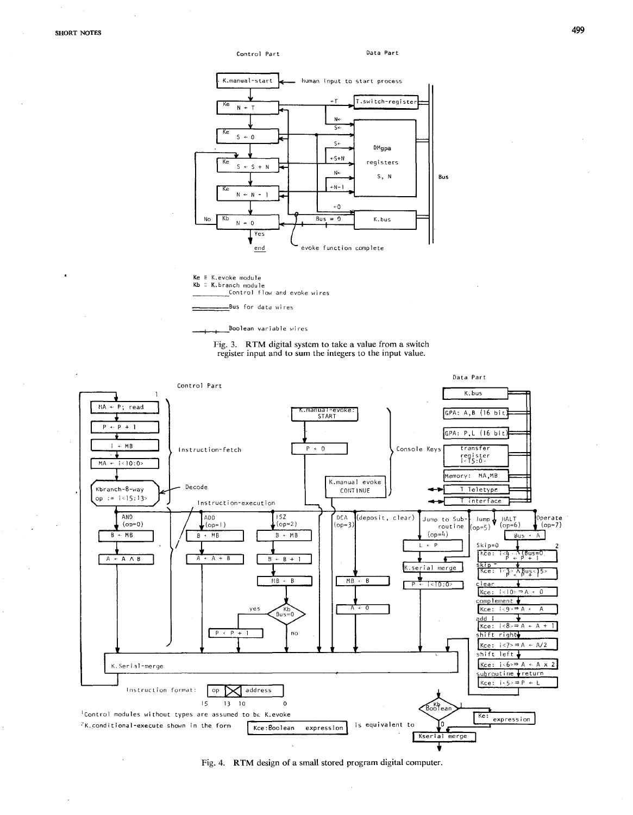

Ke E K.evoke module Kb = K.branch module

Control flow and evoke wires

Bus for data wires

Boolean variable wires

Fig. **3.** RTM digital system to take a value from a switch register input and to sum the integers to the input value.



Fig. 4. RTM design of a small stored program digital computer.

499